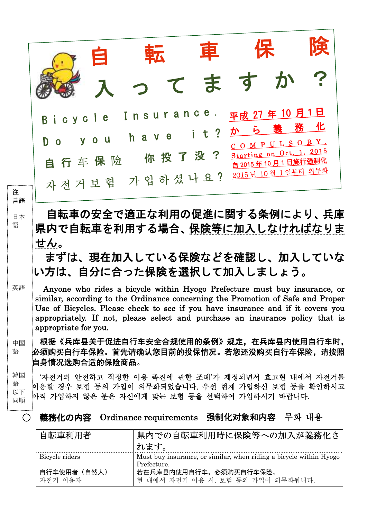|                     |                                                                                                                                                                                                                                                                                                                                                          |                                       | てま             | $\sigma$                                                                                                               |        |
|---------------------|----------------------------------------------------------------------------------------------------------------------------------------------------------------------------------------------------------------------------------------------------------------------------------------------------------------------------------------------------------|---------------------------------------|----------------|------------------------------------------------------------------------------------------------------------------------|--------|
| 注                   | cycle<br>B<br>$\mathbf 0$<br>自行车保险<br>자전거보험 가입하셨나요?                                                                                                                                                                                                                                                                                                      | Insurance.<br>h a v e<br>你投了没?        | t <sub>2</sub> | 平成 27年 10月1日<br>か<br>COMPULSORY.<br>Starting on Oct. 1, 2015<br><u>自 2015 年 10 月 1 日施行强制化</u><br>2015 년 10 월 1 일부터 의무화 | 化<br>務 |
| 言語<br>日本<br>語       | 自転車の安全で適正な利用の促進に関する条例により、兵庫<br>県内で自転車を利用する場合、保険等に加入しなければなりま<br>せん。<br>まずは、現在加入している保険などを確認し、加入していな<br>い方は、自分に合った保険を選択して加入しましょう。                                                                                                                                                                                                                           |                                       |                |                                                                                                                        |        |
| 英語                  | Anyone who rides a bicycle within Hyogo Prefecture must buy insurance, or<br>similar, according to the Ordinance concerning the Promotion of Safe and Proper<br>Use of Bicycles. Please check to see if you have insurance and if it covers you<br>appropriately. If not, please select and purchase an insurance policy that is<br>appropriate for you. |                                       |                |                                                                                                                        |        |
| 中国<br>語             | 根据《兵库县关于促进自行车安全合规使用的条例》规定,在兵库县内使用自行车时,<br>必须购买自行车保险。首先请确认您目前的投保情况。若您还没购买自行车保险,请按照<br>自身情况选购合适的保险商品。                                                                                                                                                                                                                                                      |                                       |                |                                                                                                                        |        |
| 韓国<br>語<br>以下<br>同順 | '자전거의 안전하고 적정한 이용 촉진에 관한 조례'가 제정되면서 효고현 내에서 자전거를<br>이용할 경우 보험 등의 가입이 의무화되었습니다. 우선 현재 가입하신 보험 등을 확인하시고<br>아직 가입하지 않은 분은 자신에게 맞는 보험 등을 선택하여 가입하시기 바랍니다.                                                                                                                                                                                                    |                                       |                |                                                                                                                        |        |
| $\bigcirc$          | 義務化の内容                                                                                                                                                                                                                                                                                                                                                   | Ordinance requirements 强制化对象和内容 무화 내용 |                |                                                                                                                        |        |
|                     | 自転車利用者                                                                                                                                                                                                                                                                                                                                                   | れます。                                  |                | 県内での自転車利用時に保険等への加入が義務化さ                                                                                                |        |
|                     | Bicycle riders                                                                                                                                                                                                                                                                                                                                           |                                       |                | Must buy insurance, or similar, when riding a bicycle within Hyogo                                                     |        |

Prefecture.

현 내에서 자전거 이용 시, 보험 등의 가입이 의무화됩니다.

若在兵库县内使用自行车,必须购买自行车保险。

自行车使用者(自然人)

자전거 이용자